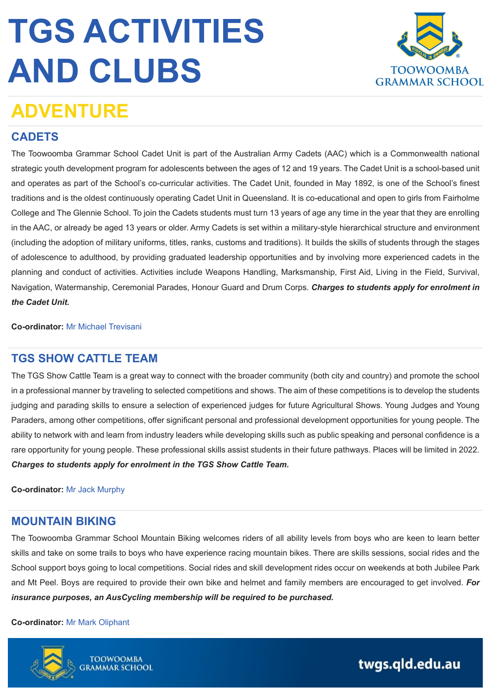

### **ADVENTURE**

#### **CADETS**

The Toowoomba Grammar School Cadet Unit is part of the Australian Army Cadets (AAC) which is a Commonwealth national strategic youth development program for adolescents between the ages of 12 and 19 years. The Cadet Unit is a school-based unit and operates as part of the School's co-curricular activities. The Cadet Unit, founded in May 1892, is one of the School's finest traditions and is the oldest continuously operating Cadet Unit in Queensland. It is co-educational and open to girls from Fairholme College and The Glennie School. To join the Cadets students must turn 13 years of age any time in the year that they are enrolling in the AAC, or already be aged 13 years or older. Army Cadets is set within a military-style hierarchical structure and environment (including the adoption of military uniforms, titles, ranks, customs and traditions). It builds the skills of students through the stages of adolescence to adulthood, by providing graduated leadership opportunities and by involving more experienced cadets in the planning and conduct of activities. Activities include Weapons Handling, Marksmanship, First Aid, Living in the Field, Survival, Navigation, Watermanship, Ceremonial Parades, Honour Guard and Drum Corps. *Charges to students apply for enrolment in the Cadet Unit.*

**Co-ordinator:** [Mr Michael Trevisani](mailto:m.trevisani@twgs.qld.edu.au)

#### **TGS SHOW CATTLE TEAM**

The TGS Show Cattle Team is a great way to connect with the broader community (both city and country) and promote the school in a professional manner by traveling to selected competitions and shows. The aim of these competitions is to develop the students judging and parading skills to ensure a selection of experienced judges for future Agricultural Shows. Young Judges and Young Paraders, among other competitions, offer significant personal and professional development opportunities for young people. The ability to network with and learn from industry leaders while developing skills such as public speaking and personal confidence is a rare opportunity for young people. These professional skills assist students in their future pathways. Places will be limited in 2022. *Charges to students apply for enrolment in the TGS Show Cattle Team.*

#### **Co-ordinator:** [Mr Jack Murphy](mailto:j.murphy@twgs.qld.edu.au)

#### **MOUNTAIN BIKING**

The Toowoomba Grammar School Mountain Biking welcomes riders of all ability levels from boys who are keen to learn better skills and take on some trails to boys who have experience racing mountain bikes. There are skills sessions, social rides and the School support boys going to local competitions. Social rides and skill development rides occur on weekends at both Jubilee Park and Mt Peel. Boys are required to provide their own bike and helmet and family members are encouraged to get involved. *For insurance purposes, an AusCycling membership will be required to be purchased.*

#### **Co-ordinator:** [Mr Mark Oliphant](mailto:m.oliphant@twgs.qld.edu.au)

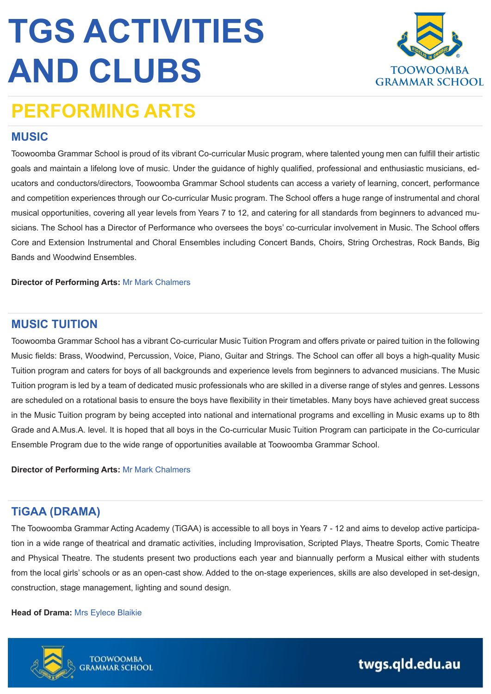

## **PERFORMING ARTS**

#### **MUSIC**

Toowoomba Grammar School is proud of its vibrant Co-curricular Music program, where talented young men can fulfill their artistic goals and maintain a lifelong love of music. Under the guidance of highly qualified, professional and enthusiastic musicians, educators and conductors/directors, Toowoomba Grammar School students can access a variety of learning, concert, performance and competition experiences through our Co-curricular Music program. The School offers a huge range of instrumental and choral musical opportunities, covering all year levels from Years 7 to 12, and catering for all standards from beginners to advanced musicians. The School has a Director of Performance who oversees the boys' co-curricular involvement in Music. The School offers Core and Extension Instrumental and Choral Ensembles including Concert Bands, Choirs, String Orchestras, Rock Bands, Big Bands and Woodwind Ensembles.

**Director of Performing Arts:** [Mr Mark Chalmers](mailto:mark.chalmers@twgs.qld.edu.au) 

#### **MUSIC TUITION**

Toowoomba Grammar School has a vibrant Co-curricular Music Tuition Program and offers private or paired tuition in the following Music fields: Brass, Woodwind, Percussion, Voice, Piano, Guitar and Strings. The School can offer all boys a high-quality Music Tuition program and caters for boys of all backgrounds and experience levels from beginners to advanced musicians. The Music Tuition program is led by a team of dedicated music professionals who are skilled in a diverse range of styles and genres. Lessons are scheduled on a rotational basis to ensure the boys have flexibility in their timetables. Many boys have achieved great success in the Music Tuition program by being accepted into national and international programs and excelling in Music exams up to 8th Grade and A.Mus.A. level. It is hoped that all boys in the Co-curricular Music Tuition Program can participate in the Co-curricular Ensemble Program due to the wide range of opportunities available at Toowoomba Grammar School.

**Director of Performing Arts:** [Mr Mark Chalmers](mailto:mark.chalmers@twgs.qld.edu.au) 

#### **TiGAA (DRAMA)**

The Toowoomba Grammar Acting Academy (TiGAA) is accessible to all boys in Years 7 - 12 and aims to develop active participation in a wide range of theatrical and dramatic activities, including Improvisation, Scripted Plays, Theatre Sports, Comic Theatre and Physical Theatre. The students present two productions each year and biannually perform a Musical either with students from the local girls' schools or as an open-cast show. Added to the on-stage experiences, skills are also developed in set-design, construction, stage management, lighting and sound design.

#### **Head of Drama:** [Mrs Eylece Blaikie](mailto:e.blaikie@twgs.qld.edu.au)

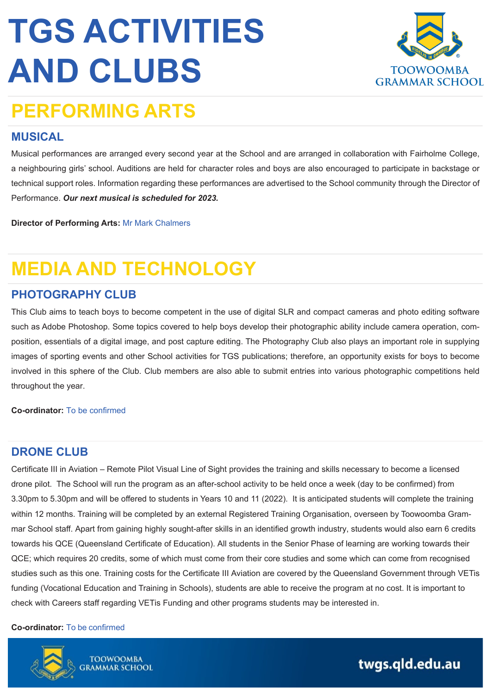

## **PERFORMING ARTS**

#### **MUSICAL**

Musical performances are arranged every second year at the School and are arranged in collaboration with Fairholme College, a neighbouring girls' school. Auditions are held for character roles and boys are also encouraged to participate in backstage or technical support roles. Information regarding these performances are advertised to the School community through the Director of Performance. *Our next musical is scheduled for 2023.* 

**Director of Performing Arts:** [Mr Mark Chalmers](mailto:mark.chalmers@twgs.qld.edu.au) 

## **MEDIA AND TECHNOLOGY**

#### **PHOTOGRAPHY CLUB**

This Club aims to teach boys to become competent in the use of digital SLR and compact cameras and photo editing software such as Adobe Photoshop. Some topics covered to help boys develop their photographic ability include camera operation, composition, essentials of a digital image, and post capture editing. The Photography Club also plays an important role in supplying images of sporting events and other School activities for TGS publications; therefore, an opportunity exists for boys to become involved in this sphere of the Club. Club members are also able to submit entries into various photographic competitions held throughout the year.

**Co-ordinator:** To be confirmed

#### **DRONE CLUB**

Certificate III in Aviation – Remote Pilot Visual Line of Sight provides the training and skills necessary to become a licensed drone pilot. The School will run the program as an after-school activity to be held once a week (day to be confirmed) from 3.30pm to 5.30pm and will be offered to students in Years 10 and 11 (2022). It is anticipated students will complete the training within 12 months. Training will be completed by an external Registered Training Organisation, overseen by Toowoomba Grammar School staff. Apart from gaining highly sought-after skills in an identified growth industry, students would also earn 6 credits towards his QCE (Queensland Certificate of Education). All students in the Senior Phase of learning are working towards their QCE; which requires 20 credits, some of which must come from their core studies and some which can come from recognised studies such as this one. Training costs for the Certificate III Aviation are covered by the Queensland Government through VETis funding (Vocational Education and Training in Schools), students are able to receive the program at no cost. It is important to check with Careers staff regarding VETis Funding and other programs students may be interested in.

#### **Co-ordinator:** To be confirmed



**TOOWOOMBA**<br>GRAMMAR SCHOOL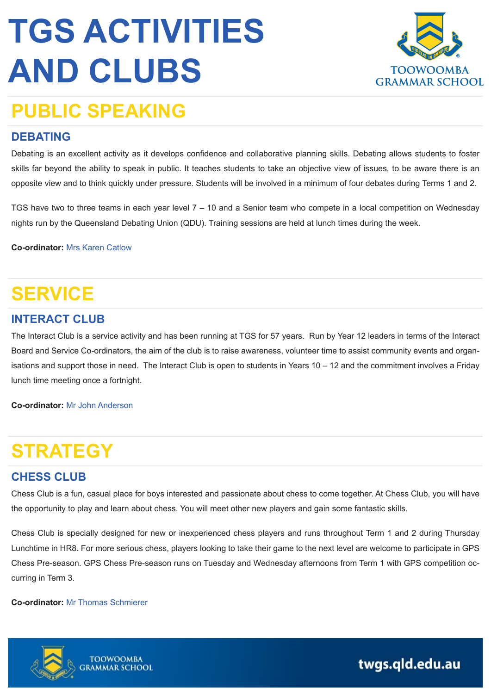

## **PUBLIC SPEAKING**

#### **DEBATING**

Debating is an excellent activity as it develops confidence and collaborative planning skills. Debating allows students to foster skills far beyond the ability to speak in public. It teaches students to take an objective view of issues, to be aware there is an opposite view and to think quickly under pressure. Students will be involved in a minimum of four debates during Terms 1 and 2.

TGS have two to three teams in each year level 7 – 10 and a Senior team who compete in a local competition on Wednesday nights run by the Queensland Debating Union (QDU). Training sessions are held at lunch times during the week.

**Co-ordinator:** Mrs [Karen Catlow](mailto:k.catlow@twgs.qld.edu.au)

## **SERVICE**

#### **INTERACT CLUB**

The Interact Club is a service activity and has been running at TGS for 57 years. Run by Year 12 leaders in terms of the Interact Board and Service Co-ordinators, the aim of the club is to raise awareness, volunteer time to assist community events and organisations and support those in need. The Interact Club is open to students in Years 10 – 12 and the commitment involves a Friday lunch time meeting once a fortnight.

**Co-ordinator:** [Mr John Anderson](mailto:j.anderson@twgs.qld.edu.au)

## **STRATEGY**

#### **CHESS CLUB**

Chess Club is a fun, casual place for boys interested and passionate about chess to come together. At Chess Club, you will have the opportunity to play and learn about chess. You will meet other new players and gain some fantastic skills.

Chess Club is specially designed for new or inexperienced chess players and runs throughout Term 1 and 2 during Thursday Lunchtime in HR8. For more serious chess, players looking to take their game to the next level are welcome to participate in GPS Chess Pre-season. GPS Chess Pre-season runs on Tuesday and Wednesday afternoons from Term 1 with GPS competition occurring in Term 3.

**Co-ordinator:** [Mr Thomas Schmierer](mailto:t.schmierer@twgs.qld.edu.au)